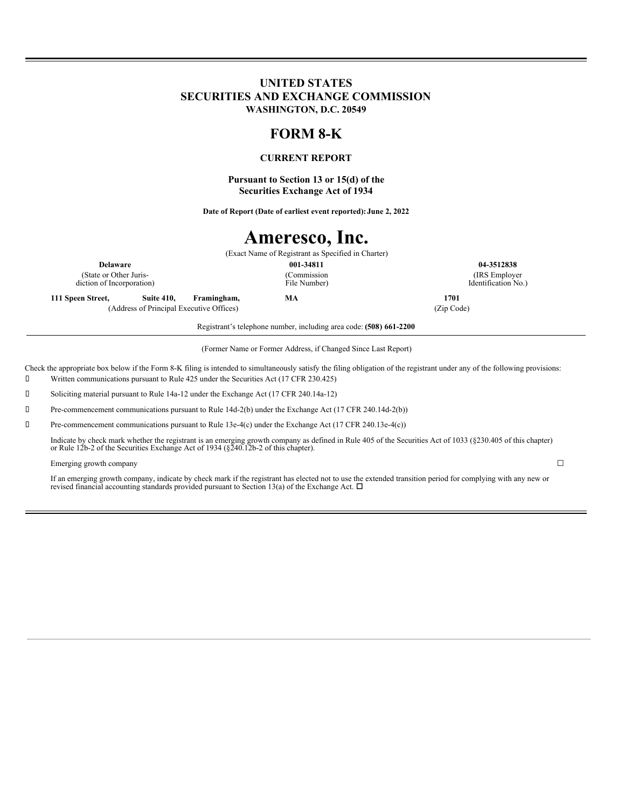## **UNITED STATES SECURITIES AND EXCHANGE COMMISSION WASHINGTON, D.C. 20549**

# **FORM 8-K**

## **CURRENT REPORT**

**Pursuant to Section 13 or 15(d) of the Securities Exchange Act of 1934**

**Date of Report (Date of earliest event reported):June 2, 2022**

# **Ameresco, Inc.**

(Exact Name of Registrant as Specified in Charter) **Delaware 001-34811 04-3512838** (Commission File Number)

(State or Other Jurisdiction of Incorporation)

**111 Speen Street, Suite 410, Framingham, MA 1701** (Address of Principal Executive Offices) (Zip Code)

(IRS Employer Identification No.)

Registrant's telephone number, including area code: **(508) 661-2200**

(Former Name or Former Address, if Changed Since Last Report)

Check the appropriate box below if the Form 8-K filing is intended to simultaneously satisfy the filing obligation of the registrant under any of the following provisions:

Written communications pursuant to Rule 425 under the Securities Act (17 CFR 230.425)

Soliciting material pursuant to Rule 14a-12 under the Exchange Act (17 CFR 240.14a-12)

Pre-commencement communications pursuant to Rule 14d-2(b) under the Exchange Act (17 CFR 240.14d-2(b))

Pre-commencement communications pursuant to Rule 13e-4(c) under the Exchange Act (17 CFR 240.13e-4(c))

Indicate by check mark whether the registrant is an emerging growth company as defined in Rule 405 of the Securities Act of 1033 (§230.405 of this chapter) or Rule 12b-2 of the Securities Exchange Act of 1934 (§240.12b-2 o

#### Emerging growth company  $\Box$

If an emerging growth company, indicate by check mark if the registrant has elected not to use the extended transition period for complying with any new or revised financial accounting standards provided pursuant to Section 13(a) of the Exchange Act.  $\Box$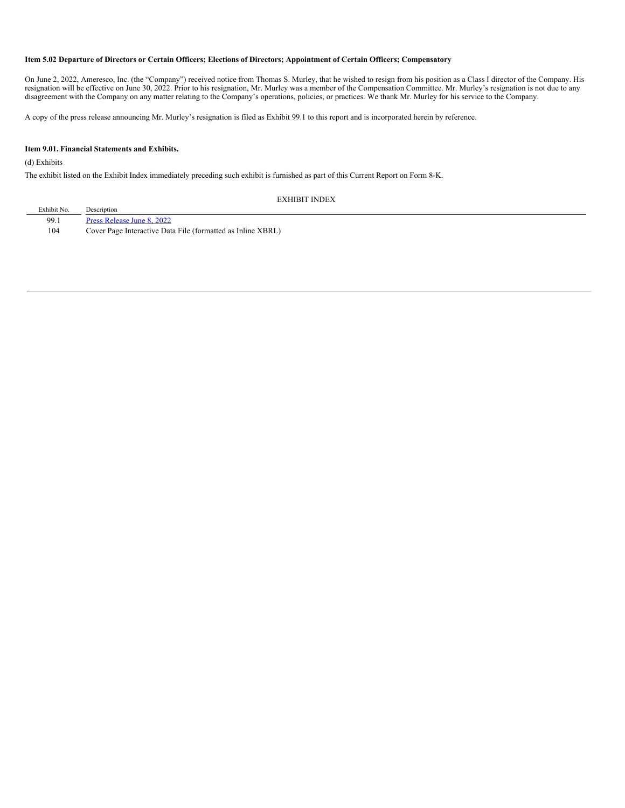#### Item 5.02 Departure of Directors or Certain Officers; Elections of Directors; Appointment of Certain Officers; Compensatory

On June 2, 2022, Ameresco, Inc. (the "Company") received notice from Thomas S. Murley, that he wished to resign from his position as a Class I director of the Company. His resignation will be effective on June 30, 2022. Prior to his resignation, Mr. Murley was a member of the Compensation Committee. Mr. Murley's resignation is not due to any disagreement with the Company on any matter relating to the Company's operations, policies, or practices. We thank Mr. Murley for his service to the Company.

A copy of the press release announcing Mr. Murley's resignation is filed as Exhibit 99.1 to this report and is incorporated herein by reference.

#### **Item 9.01. Financial Statements and Exhibits.**

(d) Exhibits

The exhibit listed on the Exhibit Index immediately preceding such exhibit is furnished as part of this Current Report on Form 8-K.

EXHIBIT INDEX

| Exhibit No. | Description                                                 |
|-------------|-------------------------------------------------------------|
| 99.1        | Press Release June 8, 2022                                  |
| 104         | Cover Page Interactive Data File (formatted as Inline XBRL) |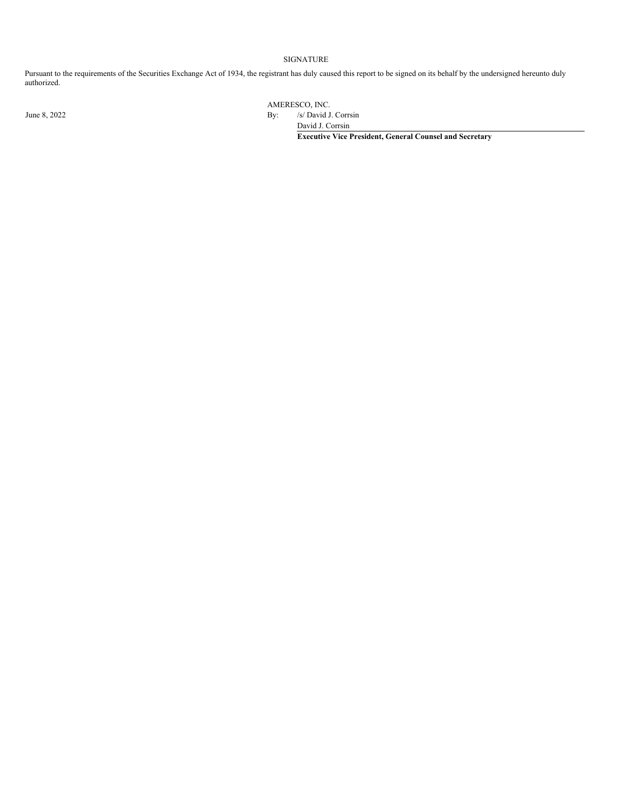#### SIGNATURE

Pursuant to the requirements of the Securities Exchange Act of 1934, the registrant has duly caused this report to be signed on its behalf by the undersigned hereunto duly authorized.

AMERESCO, INC.

June 8, 2022 By: /s/ David J. Corrsin

David J. Corrsin

**Executive Vice President, General Counsel and Secretary**